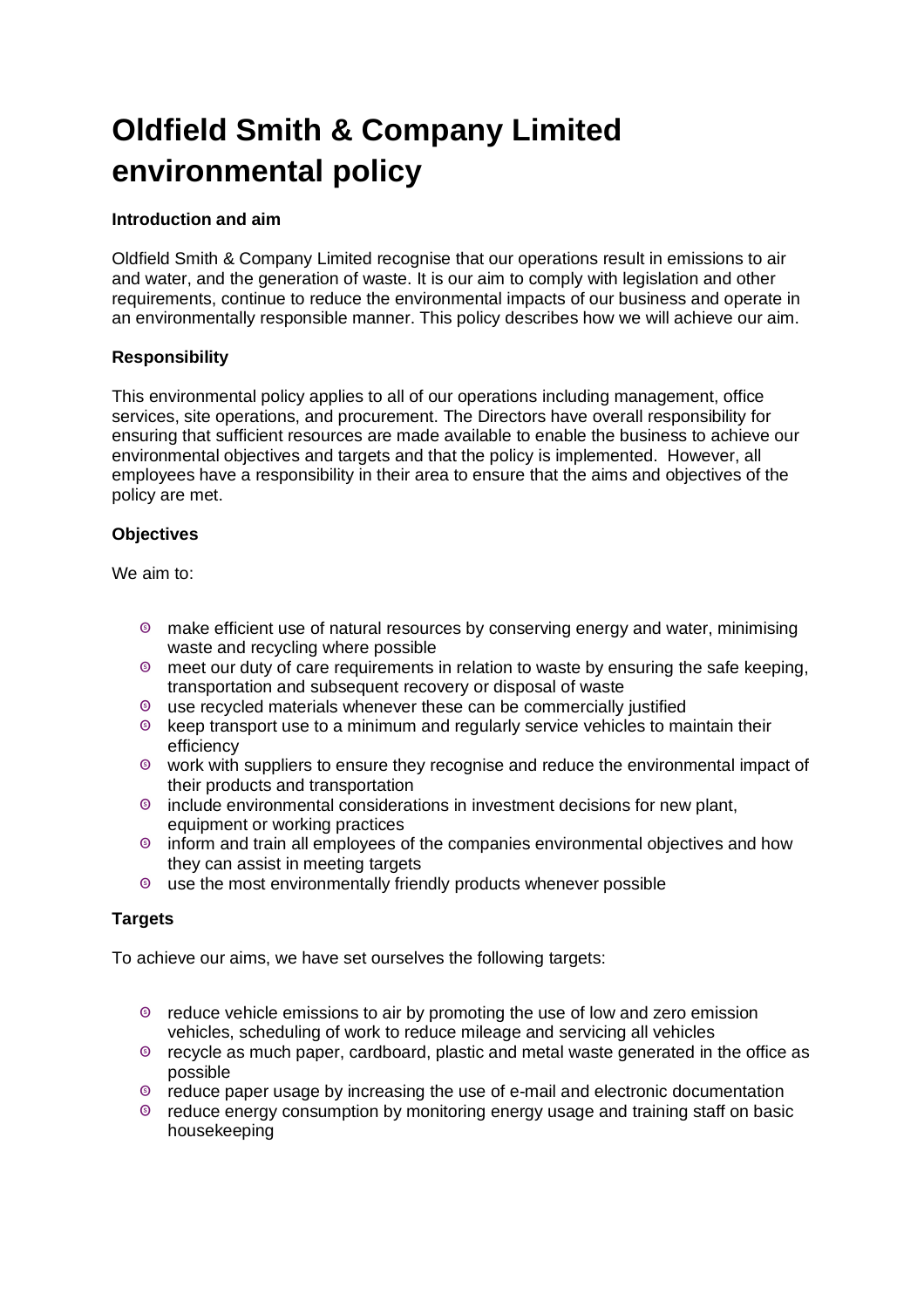# **Oldfield Smith & Company Limited environmental policy**

### **Introduction and aim**

Oldfield Smith & Company Limited recognise that our operations result in emissions to air and water, and the generation of waste. It is our aim to comply with legislation and other requirements, continue to reduce the environmental impacts of our business and operate in an environmentally responsible manner. This policy describes how we will achieve our aim.

### **Responsibility**

This environmental policy applies to all of our operations including management, office services, site operations, and procurement. The Directors have overall responsibility for ensuring that sufficient resources are made available to enable the business to achieve our environmental objectives and targets and that the policy is implemented. However, all employees have a responsibility in their area to ensure that the aims and objectives of the policy are met.

### **Objectives**

We aim to:

- make efficient use of natural resources by conserving energy and water, minimising waste and recycling where possible
- meet our duty of care requirements in relation to waste by ensuring the safe keeping, transportation and subsequent recovery or disposal of waste
- $\bullet$  use recycled materials whenever these can be commercially justified
- keep transport use to a minimum and regularly service vehicles to maintain their efficiency
- work with suppliers to ensure they recognise and reduce the environmental impact of their products and transportation
- include environmental considerations in investment decisions for new plant, equipment or working practices
- inform and train all employees of the companies environmental objectives and how they can assist in meeting targets
- use the most environmentally friendly products whenever possible

### **Targets**

To achieve our aims, we have set ourselves the following targets:

- <sup>©</sup> reduce vehicle emissions to air by promoting the use of low and zero emission vehicles, scheduling of work to reduce mileage and servicing all vehicles
- recycle as much paper, cardboard, plastic and metal waste generated in the office as possible
- reduce paper usage by increasing the use of e-mail and electronic documentation
- reduce energy consumption by monitoring energy usage and training staff on basic housekeeping